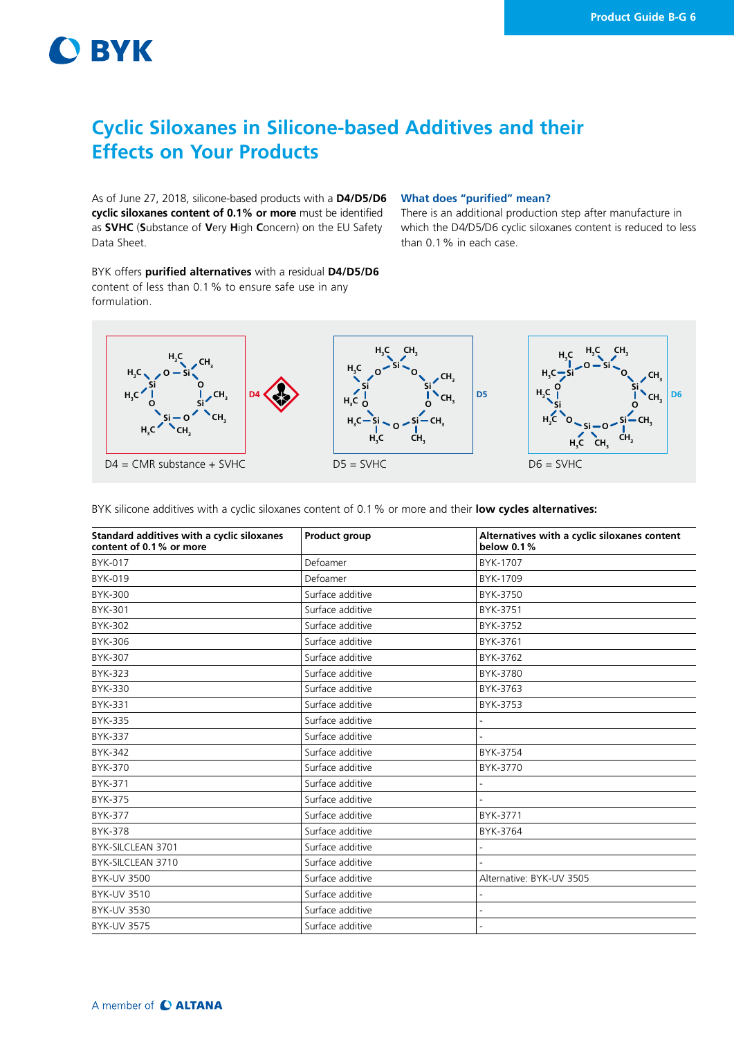# **O BYK**

formulation.

## **Cyclic Siloxanes in Silicone-based Additives and their Effects on Your Products**

As of June 27, 2018, silicone-based products with a **D4/D5/D6 What does "purified" mean? cyclic siloxanes content of 0.1% or more** must be identified as **SVHC** (**S**ubstance of **V**ery **H**igh **C**oncern) on the EU Safety Data Sheet.

BYK offers **purified alternatives** with a residual **D4/D5/D6** content of less than 0.1% to ensure safe use in any

There is an additional production step after manufacture in which the D4/D5/D6 cyclic siloxanes content is reduced to less than 0.1% in each case.



BYK silicone additives with a cyclic siloxanes content of 0.1% or more and their **low cycles alternatives:**

| Standard additives with a cyclic siloxanes<br>content of 0.1% or more | Product group    | Alternatives with a cyclic siloxanes content<br>below 0.1% |
|-----------------------------------------------------------------------|------------------|------------------------------------------------------------|
| <b>BYK-017</b>                                                        | Defoamer         | BYK-1707                                                   |
| BYK-019                                                               | Defoamer         | BYK-1709                                                   |
| <b>BYK-300</b>                                                        | Surface additive | BYK-3750                                                   |
| BYK-301                                                               | Surface additive | BYK-3751                                                   |
| BYK-302                                                               | Surface additive | BYK-3752                                                   |
| BYK-306                                                               | Surface additive | BYK-3761                                                   |
| <b>BYK-307</b>                                                        | Surface additive | BYK-3762                                                   |
| <b>BYK-323</b>                                                        | Surface additive | BYK-3780                                                   |
| <b>BYK-330</b>                                                        | Surface additive | BYK-3763                                                   |
| BYK-331                                                               | Surface additive | BYK-3753                                                   |
| <b>BYK-335</b>                                                        | Surface additive |                                                            |
| <b>BYK-337</b>                                                        | Surface additive |                                                            |
| <b>BYK-342</b>                                                        | Surface additive | BYK-3754                                                   |
| <b>BYK-370</b>                                                        | Surface additive | BYK-3770                                                   |
| BYK-371                                                               | Surface additive |                                                            |
| <b>BYK-375</b>                                                        | Surface additive |                                                            |
| <b>BYK-377</b>                                                        | Surface additive | BYK-3771                                                   |
| <b>BYK-378</b>                                                        | Surface additive | BYK-3764                                                   |
| BYK-SILCLEAN 3701                                                     | Surface additive |                                                            |
| BYK-SILCLEAN 3710                                                     | Surface additive |                                                            |
| <b>BYK-UV 3500</b>                                                    | Surface additive | Alternative: BYK-UV 3505                                   |
| <b>BYK-UV 3510</b>                                                    | Surface additive |                                                            |
| <b>BYK-UV 3530</b>                                                    | Surface additive |                                                            |
| <b>BYK-UV 3575</b>                                                    | Surface additive |                                                            |